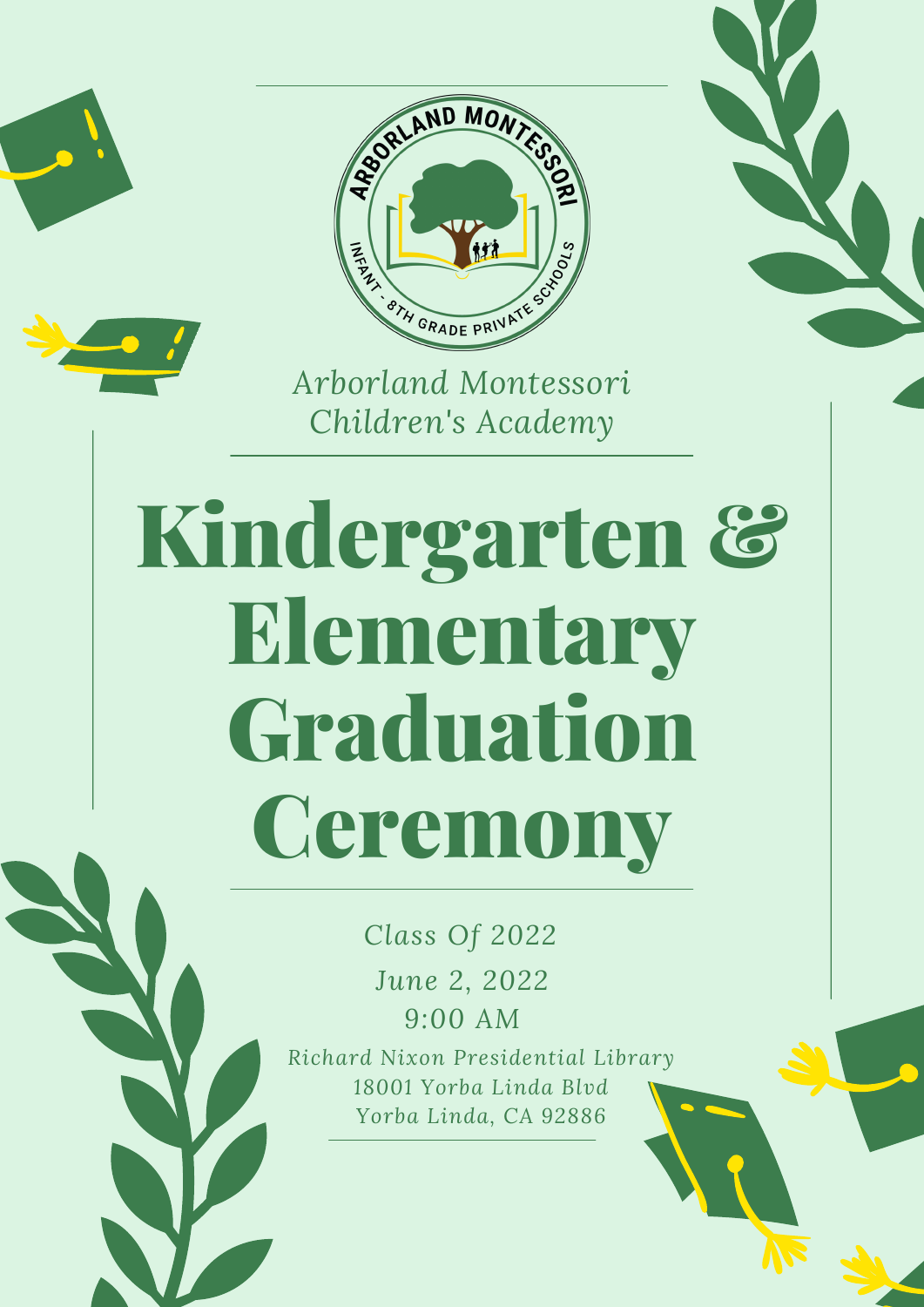



*Children's Academy*

## Kindergarten & Elementary Graduation **Ceremony**

*Class Of 2022 June 2, 2022 9:00 AM*

*Richard Nixon Presidential Library 18001 Yorba Linda Blvd Yorba Linda, CA 92886*